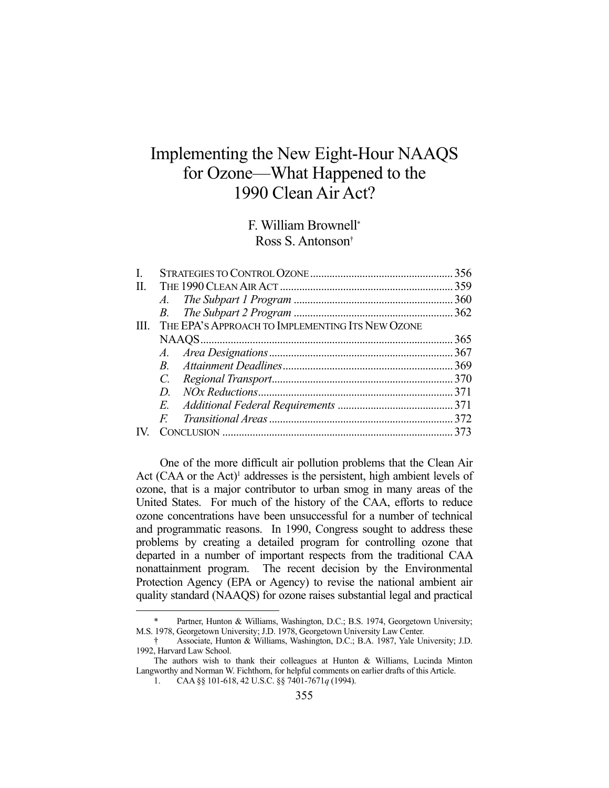# Implementing the New Eight-Hour NAAQS for Ozone—What Happened to the 1990 Clean Air Act?

F. William Brownell\* Ross S. Antonson†

| I.   |                                                  |  |  |  |
|------|--------------------------------------------------|--|--|--|
| II.  |                                                  |  |  |  |
|      |                                                  |  |  |  |
|      |                                                  |  |  |  |
| III. | THE EPA'S APPROACH TO IMPLEMENTING ITS NEW OZONE |  |  |  |
|      |                                                  |  |  |  |
|      |                                                  |  |  |  |
|      | $\mathcal{B}$                                    |  |  |  |
|      | $C_{\cdot}$                                      |  |  |  |
|      | D.                                               |  |  |  |
|      |                                                  |  |  |  |
|      | $\overline{F}$                                   |  |  |  |
|      |                                                  |  |  |  |
|      |                                                  |  |  |  |

 One of the more difficult air pollution problems that the Clean Air Act  $(CAA$  or the Act)<sup>1</sup> addresses is the persistent, high ambient levels of ozone, that is a major contributor to urban smog in many areas of the United States. For much of the history of the CAA, efforts to reduce ozone concentrations have been unsuccessful for a number of technical and programmatic reasons. In 1990, Congress sought to address these problems by creating a detailed program for controlling ozone that departed in a number of important respects from the traditional CAA nonattainment program. The recent decision by the Environmental Protection Agency (EPA or Agency) to revise the national ambient air quality standard (NAAQS) for ozone raises substantial legal and practical

Partner, Hunton & Williams, Washington, D.C.; B.S. 1974, Georgetown University; M.S. 1978, Georgetown University; J.D. 1978, Georgetown University Law Center.

 <sup>†</sup> Associate, Hunton & Williams, Washington, D.C.; B.A. 1987, Yale University; J.D. 1992, Harvard Law School.

The authors wish to thank their colleagues at Hunton & Williams, Lucinda Minton Langworthy and Norman W. Fichthorn, for helpful comments on earlier drafts of this Article.

 <sup>1.</sup> CAA §§ 101-618, 42 U.S.C. §§ 7401-7671*q* (1994).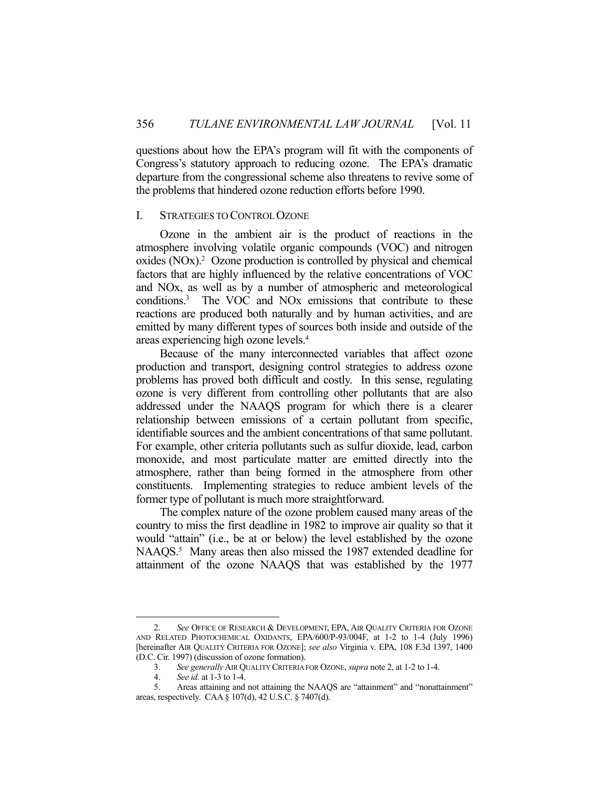questions about how the EPA's program will fit with the components of Congress's statutory approach to reducing ozone. The EPA's dramatic departure from the congressional scheme also threatens to revive some of the problems that hindered ozone reduction efforts before 1990.

#### I. STRATEGIES TO CONTROL OZONE

 Ozone in the ambient air is the product of reactions in the atmosphere involving volatile organic compounds (VOC) and nitrogen oxides (NOx).<sup>2</sup> Ozone production is controlled by physical and chemical factors that are highly influenced by the relative concentrations of VOC and NOx, as well as by a number of atmospheric and meteorological conditions.3 The VOC and NOx emissions that contribute to these reactions are produced both naturally and by human activities, and are emitted by many different types of sources both inside and outside of the areas experiencing high ozone levels.4

 Because of the many interconnected variables that affect ozone production and transport, designing control strategies to address ozone problems has proved both difficult and costly. In this sense, regulating ozone is very different from controlling other pollutants that are also addressed under the NAAQS program for which there is a clearer relationship between emissions of a certain pollutant from specific, identifiable sources and the ambient concentrations of that same pollutant. For example, other criteria pollutants such as sulfur dioxide, lead, carbon monoxide, and most particulate matter are emitted directly into the atmosphere, rather than being formed in the atmosphere from other constituents. Implementing strategies to reduce ambient levels of the former type of pollutant is much more straightforward.

 The complex nature of the ozone problem caused many areas of the country to miss the first deadline in 1982 to improve air quality so that it would "attain" (i.e., be at or below) the level established by the ozone NAAQS.<sup>5</sup> Many areas then also missed the 1987 extended deadline for attainment of the ozone NAAQS that was established by the 1977

 <sup>2.</sup> *See* OFFICE OF RESEARCH & DEVELOPMENT, EPA, AIR QUALITY CRITERIA FOR OZONE AND RELATED PHOTOCHEMICAL OXIDANTS, EPA/600/P-93/004F, at 1-2 to 1-4 (July 1996) [hereinafter AIR QUALITY CRITERIA FOR OZONE]; *see also* Virginia v. EPA, 108 F.3d 1397, 1400 (D.C. Cir. 1997) (discussion of ozone formation).

 <sup>3.</sup> *See generally* AIR QUALITY CRITERIA FOR OZONE, *supra* note 2, at 1-2 to 1-4.

 <sup>4.</sup> *See id.* at 1-3 to 1-4.

 <sup>5.</sup> Areas attaining and not attaining the NAAQS are "attainment" and "nonattainment" areas, respectively. CAA § 107(d), 42 U.S.C. § 7407(d).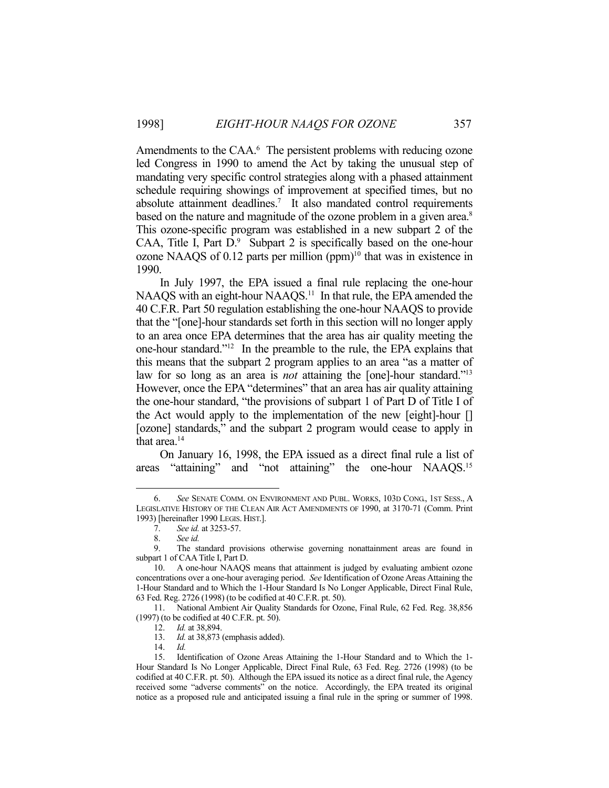Amendments to the CAA.<sup>6</sup> The persistent problems with reducing ozone led Congress in 1990 to amend the Act by taking the unusual step of mandating very specific control strategies along with a phased attainment schedule requiring showings of improvement at specified times, but no absolute attainment deadlines.<sup>7</sup> It also mandated control requirements based on the nature and magnitude of the ozone problem in a given area.<sup>8</sup> This ozone-specific program was established in a new subpart 2 of the CAA, Title I, Part  $D^9$ . Subpart 2 is specifically based on the one-hour ozone NAAQS of  $0.12$  parts per million (ppm)<sup>10</sup> that was in existence in 1990.

 In July 1997, the EPA issued a final rule replacing the one-hour NAAQS with an eight-hour NAAQS.<sup>11</sup> In that rule, the EPA amended the 40 C.F.R. Part 50 regulation establishing the one-hour NAAQS to provide that the "[one]-hour standards set forth in this section will no longer apply to an area once EPA determines that the area has air quality meeting the one-hour standard."12 In the preamble to the rule, the EPA explains that this means that the subpart 2 program applies to an area "as a matter of law for so long as an area is *not* attaining the [one]-hour standard."13 However, once the EPA "determines" that an area has air quality attaining the one-hour standard, "the provisions of subpart 1 of Part D of Title I of the Act would apply to the implementation of the new [eight]-hour [] [ozone] standards," and the subpart 2 program would cease to apply in that area.<sup>14</sup>

 On January 16, 1998, the EPA issued as a direct final rule a list of areas "attaining" and "not attaining" the one-hour NAAQS.15

 <sup>6.</sup> *See* SENATE COMM. ON ENVIRONMENT AND PUBL. WORKS, 103D CONG., 1ST SESS., A LEGISLATIVE HISTORY OF THE CLEAN AIR ACT AMENDMENTS OF 1990, at 3170-71 (Comm. Print 1993) [hereinafter 1990 LEGIS. HIST.].

 <sup>7.</sup> *See id.* at 3253-57.

 <sup>8.</sup> *See id.*

 <sup>9.</sup> The standard provisions otherwise governing nonattainment areas are found in subpart 1 of CAA Title I, Part D.

 <sup>10.</sup> A one-hour NAAQS means that attainment is judged by evaluating ambient ozone concentrations over a one-hour averaging period. *See* Identification of Ozone Areas Attaining the 1-Hour Standard and to Which the 1-Hour Standard Is No Longer Applicable, Direct Final Rule, 63 Fed. Reg. 2726 (1998) (to be codified at 40 C.F.R. pt. 50).

 <sup>11.</sup> National Ambient Air Quality Standards for Ozone, Final Rule, 62 Fed. Reg. 38,856 (1997) (to be codified at 40 C.F.R. pt. 50).

 <sup>12.</sup> *Id.* at 38,894.

<sup>13.</sup> *Id.* at 38,873 (emphasis added).<br>14. *Id.* 

 <sup>14.</sup> *Id.*

 <sup>15.</sup> Identification of Ozone Areas Attaining the 1-Hour Standard and to Which the 1- Hour Standard Is No Longer Applicable, Direct Final Rule, 63 Fed. Reg. 2726 (1998) (to be codified at 40 C.F.R. pt. 50). Although the EPA issued its notice as a direct final rule, the Agency received some "adverse comments" on the notice. Accordingly, the EPA treated its original notice as a proposed rule and anticipated issuing a final rule in the spring or summer of 1998.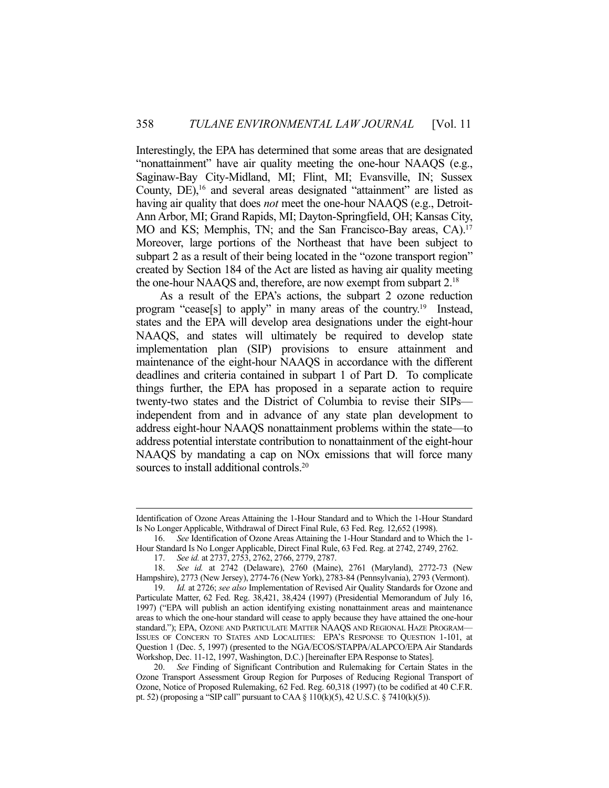Interestingly, the EPA has determined that some areas that are designated "nonattainment" have air quality meeting the one-hour NAAQS (e.g., Saginaw-Bay City-Midland, MI; Flint, MI; Evansville, IN; Sussex County, DE),<sup>16</sup> and several areas designated "attainment" are listed as having air quality that does *not* meet the one-hour NAAQS (e.g., Detroit-Ann Arbor, MI; Grand Rapids, MI; Dayton-Springfield, OH; Kansas City, MO and KS; Memphis, TN; and the San Francisco-Bay areas, CA).<sup>17</sup> Moreover, large portions of the Northeast that have been subject to subpart 2 as a result of their being located in the "ozone transport region" created by Section 184 of the Act are listed as having air quality meeting the one-hour NAAQS and, therefore, are now exempt from subpart 2.18

 As a result of the EPA's actions, the subpart 2 ozone reduction program "cease[s] to apply" in many areas of the country.<sup>19</sup> Instead, states and the EPA will develop area designations under the eight-hour NAAQS, and states will ultimately be required to develop state implementation plan (SIP) provisions to ensure attainment and maintenance of the eight-hour NAAQS in accordance with the different deadlines and criteria contained in subpart 1 of Part D. To complicate things further, the EPA has proposed in a separate action to require twenty-two states and the District of Columbia to revise their SIPs independent from and in advance of any state plan development to address eight-hour NAAQS nonattainment problems within the state—to address potential interstate contribution to nonattainment of the eight-hour NAAQS by mandating a cap on NOx emissions that will force many sources to install additional controls.<sup>20</sup>

Identification of Ozone Areas Attaining the 1-Hour Standard and to Which the 1-Hour Standard Is No Longer Applicable, Withdrawal of Direct Final Rule, 63 Fed. Reg. 12,652 (1998).

 <sup>16.</sup> *See* Identification of Ozone Areas Attaining the 1-Hour Standard and to Which the 1- Hour Standard Is No Longer Applicable, Direct Final Rule, 63 Fed. Reg. at 2742, 2749, 2762.

 <sup>17.</sup> *See id.* at 2737, 2753, 2762, 2766, 2779, 2787.

 <sup>18.</sup> *See id.* at 2742 (Delaware), 2760 (Maine), 2761 (Maryland), 2772-73 (New Hampshire), 2773 (New Jersey), 2774-76 (New York), 2783-84 (Pennsylvania), 2793 (Vermont).

 <sup>19.</sup> *Id.* at 2726; *see also* Implementation of Revised Air Quality Standards for Ozone and Particulate Matter, 62 Fed. Reg. 38,421, 38,424 (1997) (Presidential Memorandum of July 16, 1997) ("EPA will publish an action identifying existing nonattainment areas and maintenance areas to which the one-hour standard will cease to apply because they have attained the one-hour standard."); EPA, OZONE AND PARTICULATE MATTER NAAQS AND REGIONAL HAZE PROGRAM— ISSUES OF CONCERN TO STATES AND LOCALITIES: EPA'S RESPONSE TO QUESTION 1-101, at Question 1 (Dec. 5, 1997) (presented to the NGA/ECOS/STAPPA/ALAPCO/EPA Air Standards Workshop, Dec. 11-12, 1997, Washington, D.C.) [hereinafter EPA Response to States].

 <sup>20.</sup> *See* Finding of Significant Contribution and Rulemaking for Certain States in the Ozone Transport Assessment Group Region for Purposes of Reducing Regional Transport of Ozone, Notice of Proposed Rulemaking, 62 Fed. Reg. 60,318 (1997) (to be codified at 40 C.F.R. pt. 52) (proposing a "SIP call" pursuant to CAA § 110(k)(5), 42 U.S.C. § 7410(k)(5)).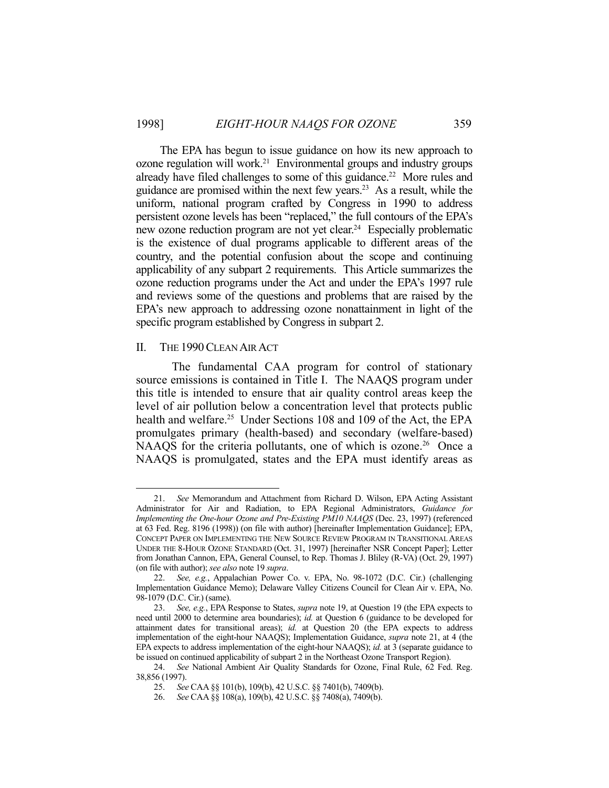The EPA has begun to issue guidance on how its new approach to ozone regulation will work.21 Environmental groups and industry groups already have filed challenges to some of this guidance.<sup>22</sup> More rules and guidance are promised within the next few years.23 As a result, while the uniform, national program crafted by Congress in 1990 to address persistent ozone levels has been "replaced," the full contours of the EPA's new ozone reduction program are not yet clear.<sup>24</sup> Especially problematic is the existence of dual programs applicable to different areas of the country, and the potential confusion about the scope and continuing applicability of any subpart 2 requirements. This Article summarizes the ozone reduction programs under the Act and under the EPA's 1997 rule and reviews some of the questions and problems that are raised by the EPA's new approach to addressing ozone nonattainment in light of the specific program established by Congress in subpart 2.

## II. THE 1990 CLEAN AIR ACT

1

 The fundamental CAA program for control of stationary source emissions is contained in Title I. The NAAQS program under this title is intended to ensure that air quality control areas keep the level of air pollution below a concentration level that protects public health and welfare.<sup>25</sup> Under Sections 108 and 109 of the Act, the EPA promulgates primary (health-based) and secondary (welfare-based) NAAQS for the criteria pollutants, one of which is ozone.<sup>26</sup> Once a NAAQS is promulgated, states and the EPA must identify areas as

 <sup>21.</sup> *See* Memorandum and Attachment from Richard D. Wilson, EPA Acting Assistant Administrator for Air and Radiation, to EPA Regional Administrators, *Guidance for Implementing the One-hour Ozone and Pre-Existing PM10 NAAQS* (Dec. 23, 1997) (referenced at 63 Fed. Reg. 8196 (1998)) (on file with author) [hereinafter Implementation Guidance]; EPA, CONCEPT PAPER ON IMPLEMENTING THE NEW SOURCE REVIEW PROGRAM IN TRANSITIONAL AREAS UNDER THE 8-HOUR OZONE STANDARD (Oct. 31, 1997) [hereinafter NSR Concept Paper]; Letter from Jonathan Cannon, EPA, General Counsel, to Rep. Thomas J. Bliley (R-VA) (Oct. 29, 1997) (on file with author); *see also* note 19 *supra*.

 <sup>22.</sup> *See, e.g.*, Appalachian Power Co. v. EPA, No. 98-1072 (D.C. Cir.) (challenging Implementation Guidance Memo); Delaware Valley Citizens Council for Clean Air v. EPA, No. 98-1079 (D.C. Cir.) (same).

 <sup>23.</sup> *See, e.g.*, EPA Response to States, *supra* note 19, at Question 19 (the EPA expects to need until 2000 to determine area boundaries); *id.* at Question 6 (guidance to be developed for attainment dates for transitional areas); *id.* at Question 20 (the EPA expects to address implementation of the eight-hour NAAQS); Implementation Guidance, *supra* note 21, at 4 (the EPA expects to address implementation of the eight-hour NAAQS); *id.* at 3 (separate guidance to be issued on continued applicability of subpart 2 in the Northeast Ozone Transport Region).

 <sup>24.</sup> *See* National Ambient Air Quality Standards for Ozone, Final Rule, 62 Fed. Reg. 38,856 (1997).

 <sup>25.</sup> *See* CAA §§ 101(b), 109(b), 42 U.S.C. §§ 7401(b), 7409(b).

 <sup>26.</sup> *See* CAA §§ 108(a), 109(b), 42 U.S.C. §§ 7408(a), 7409(b).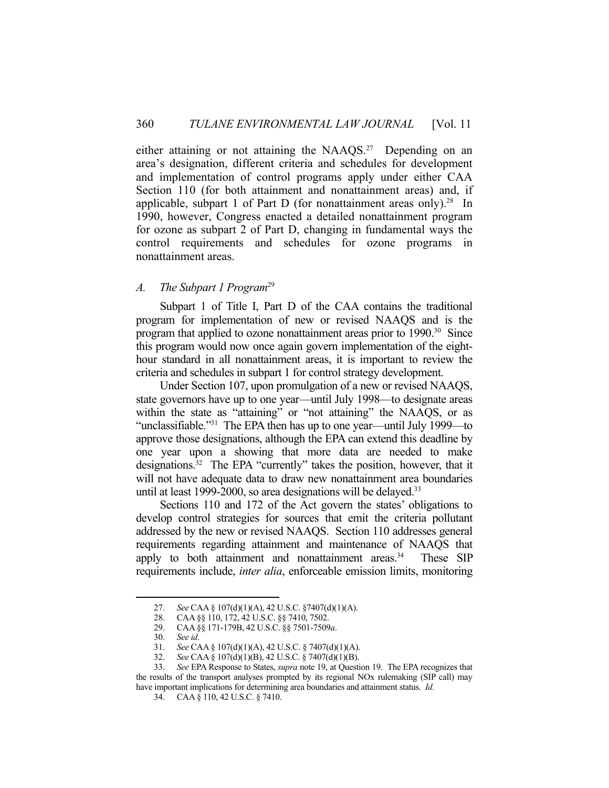either attaining or not attaining the NAAQS.<sup>27</sup> Depending on an area's designation, different criteria and schedules for development and implementation of control programs apply under either CAA Section 110 (for both attainment and nonattainment areas) and, if applicable, subpart 1 of Part D (for nonattainment areas only).<sup>28</sup> In 1990, however, Congress enacted a detailed nonattainment program for ozone as subpart 2 of Part D, changing in fundamental ways the control requirements and schedules for ozone programs in nonattainment areas.

## *A. The Subpart 1 Program*<sup>29</sup>

 Subpart 1 of Title I, Part D of the CAA contains the traditional program for implementation of new or revised NAAQS and is the program that applied to ozone nonattainment areas prior to 1990.<sup>30</sup> Since this program would now once again govern implementation of the eighthour standard in all nonattainment areas, it is important to review the criteria and schedules in subpart 1 for control strategy development.

 Under Section 107, upon promulgation of a new or revised NAAQS, state governors have up to one year—until July 1998—to designate areas within the state as "attaining" or "not attaining" the NAAQS, or as "unclassifiable."31 The EPA then has up to one year—until July 1999—to approve those designations, although the EPA can extend this deadline by one year upon a showing that more data are needed to make designations.32 The EPA "currently" takes the position, however, that it will not have adequate data to draw new nonattainment area boundaries until at least 1999-2000, so area designations will be delayed.<sup>33</sup>

 Sections 110 and 172 of the Act govern the states' obligations to develop control strategies for sources that emit the criteria pollutant addressed by the new or revised NAAQS. Section 110 addresses general requirements regarding attainment and maintenance of NAAQS that apply to both attainment and nonattainment areas.<sup>34</sup> These SIP requirements include, *inter alia*, enforceable emission limits, monitoring

 <sup>27.</sup> *See* CAA § 107(d)(1)(A), 42 U.S.C. §7407(d)(1)(A).

 <sup>28.</sup> CAA §§ 110, 172, 42 U.S.C. §§ 7410, 7502.

 <sup>29.</sup> CAA §§ 171-179B, 42 U.S.C. §§ 7501-7509*a*.

 <sup>30.</sup> *See id*.

 <sup>31.</sup> *See* CAA § 107(d)(1)(A), 42 U.S.C. § 7407(d)(1)(A).

 <sup>32.</sup> *See* CAA § 107(d)(1)(B), 42 U.S.C. § 7407(d)(1)(B).

 <sup>33.</sup> *See* EPA Response to States, *supra* note 19, at Question 19. The EPA recognizes that the results of the transport analyses prompted by its regional NOx rulemaking (SIP call) may have important implications for determining area boundaries and attainment status. *Id.*

 <sup>34.</sup> CAA § 110, 42 U.S.C. § 7410.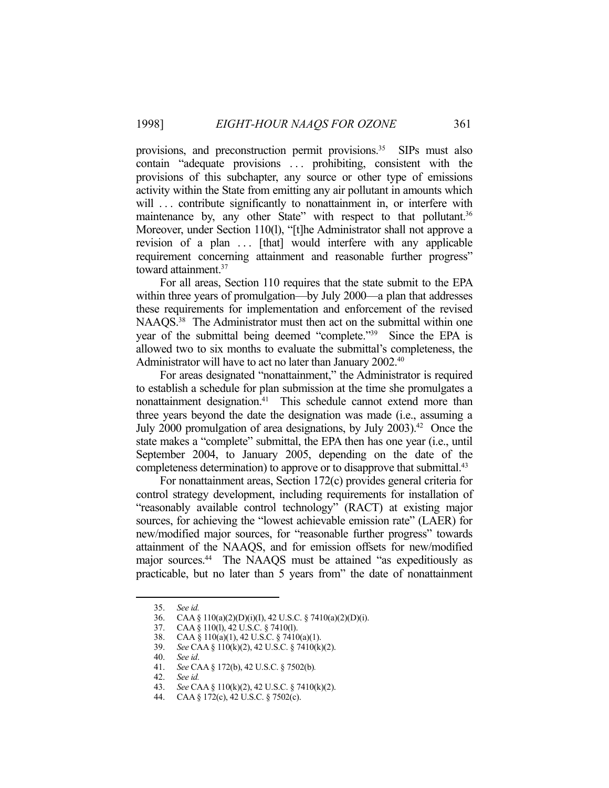provisions, and preconstruction permit provisions.<sup>35</sup> SIPs must also contain "adequate provisions ... prohibiting, consistent with the provisions of this subchapter, any source or other type of emissions activity within the State from emitting any air pollutant in amounts which will ... contribute significantly to nonattainment in, or interfere with maintenance by, any other State" with respect to that pollutant.<sup>36</sup> Moreover, under Section 110(1), "[t]he Administrator shall not approve a revision of a plan ... [that] would interfere with any applicable requirement concerning attainment and reasonable further progress" toward attainment.37

 For all areas, Section 110 requires that the state submit to the EPA within three years of promulgation—by July 2000—a plan that addresses these requirements for implementation and enforcement of the revised NAAQS.<sup>38</sup> The Administrator must then act on the submittal within one year of the submittal being deemed "complete."<sup>39</sup> Since the EPA is allowed two to six months to evaluate the submittal's completeness, the Administrator will have to act no later than January 2002.<sup>40</sup>

 For areas designated "nonattainment," the Administrator is required to establish a schedule for plan submission at the time she promulgates a nonattainment designation.<sup>41</sup> This schedule cannot extend more than three years beyond the date the designation was made (i.e., assuming a July 2000 promulgation of area designations, by July 2003).<sup>42</sup> Once the state makes a "complete" submittal, the EPA then has one year (i.e., until September 2004, to January 2005, depending on the date of the completeness determination) to approve or to disapprove that submittal.<sup>43</sup>

 For nonattainment areas, Section 172(c) provides general criteria for control strategy development, including requirements for installation of "reasonably available control technology" (RACT) at existing major sources, for achieving the "lowest achievable emission rate" (LAER) for new/modified major sources, for "reasonable further progress" towards attainment of the NAAQS, and for emission offsets for new/modified major sources.<sup>44</sup> The NAAQS must be attained "as expeditiously as practicable, but no later than 5 years from" the date of nonattainment

 <sup>35.</sup> *See id.*

 <sup>36.</sup> CAA § 110(a)(2)(D)(i)(I), 42 U.S.C. § 7410(a)(2)(D)(i).

 <sup>37.</sup> CAA § 110(l), 42 U.S.C. § 7410(l).

 <sup>38.</sup> CAA § 110(a)(1), 42 U.S.C. § 7410(a)(1).

 <sup>39.</sup> *See* CAA § 110(k)(2), 42 U.S.C. § 7410(k)(2).

 <sup>40.</sup> *See id*.

 <sup>41.</sup> *See* CAA § 172(b), 42 U.S.C. § 7502(b)*.* 42. *See id.*

 <sup>43.</sup> *See* CAA § 110(k)(2), 42 U.S.C. § 7410(k)(2).

 <sup>44.</sup> CAA § 172(c), 42 U.S.C. § 7502(c).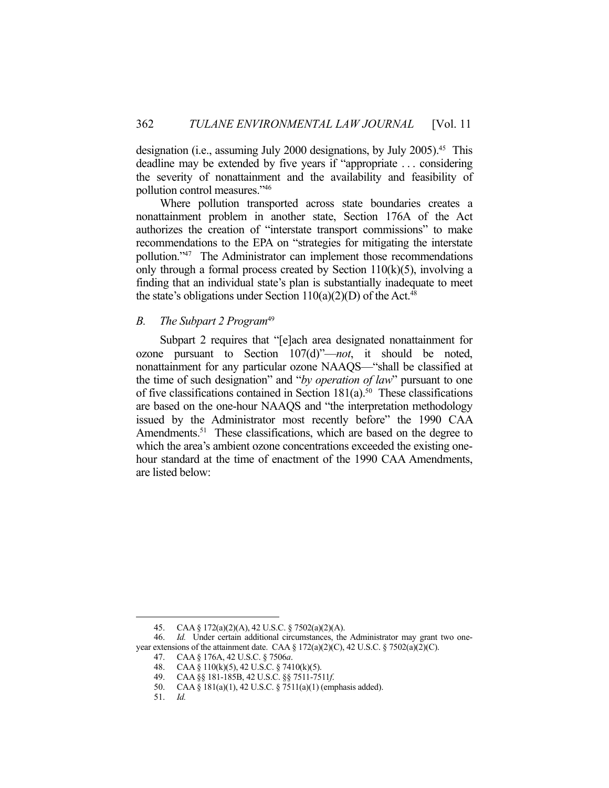designation (i.e., assuming July 2000 designations, by July 2005).45 This deadline may be extended by five years if "appropriate . . . considering the severity of nonattainment and the availability and feasibility of pollution control measures."46

 Where pollution transported across state boundaries creates a nonattainment problem in another state, Section 176A of the Act authorizes the creation of "interstate transport commissions" to make recommendations to the EPA on "strategies for mitigating the interstate pollution."47 The Administrator can implement those recommendations only through a formal process created by Section  $110(k)(5)$ , involving a finding that an individual state's plan is substantially inadequate to meet the state's obligations under Section  $110(a)(2)(D)$  of the Act.<sup>48</sup>

# *B. The Subpart 2 Program*<sup>49</sup>

 Subpart 2 requires that "[e]ach area designated nonattainment for ozone pursuant to Section 107(d)"—*not*, it should be noted, nonattainment for any particular ozone NAAQS—"shall be classified at the time of such designation" and "*by operation of law*" pursuant to one of five classifications contained in Section  $181(a)$ .<sup>50</sup> These classifications are based on the one-hour NAAQS and "the interpretation methodology issued by the Administrator most recently before" the 1990 CAA Amendments.<sup>51</sup> These classifications, which are based on the degree to which the area's ambient ozone concentrations exceeded the existing onehour standard at the time of enactment of the 1990 CAA Amendments, are listed below:

 <sup>45.</sup> CAA § 172(a)(2)(A), 42 U.S.C. § 7502(a)(2)(A).

 <sup>46.</sup> *Id.* Under certain additional circumstances, the Administrator may grant two oneyear extensions of the attainment date. CAA §  $172(a)(2)(C)$ , 42 U.S.C. § 7502(a)(2)(C).

 <sup>47.</sup> CAA § 176A, 42 U.S.C. § 7506*a*.

 <sup>48.</sup> CAA § 110(k)(5), 42 U.S.C. § 7410(k)(5).

 <sup>49.</sup> CAA §§ 181-185B, 42 U.S.C. §§ 7511-7511*f*.

 <sup>50.</sup> CAA § 181(a)(1), 42 U.S.C. § 7511(a)(1) (emphasis added).

 <sup>51.</sup> *Id.*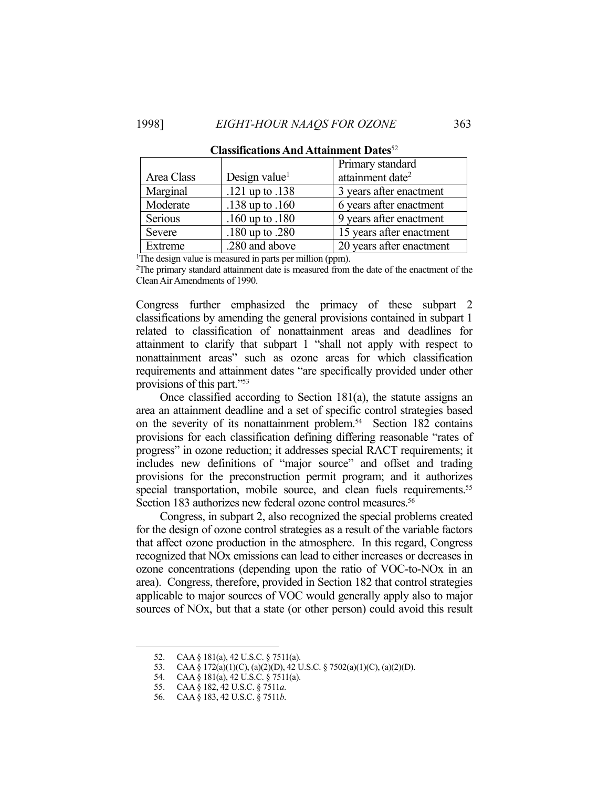|            |                           | Primary standard             |
|------------|---------------------------|------------------------------|
| Area Class | Design value <sup>1</sup> | attainment date <sup>2</sup> |
| Marginal   | .121 up to .138           | 3 years after enactment      |
| Moderate   | .138 up to .160           | 6 years after enactment      |
| Serious    | $.160$ up to $.180$       | 9 years after enactment      |
| Severe     | .180 up to .280           | 15 years after enactment     |
| Extreme    | .280 and above            | 20 years after enactment     |

#### **Classifications And Attainment Dates**<sup>52</sup>

<sup>1</sup>The design value is measured in parts per million (ppm).

2The primary standard attainment date is measured from the date of the enactment of the Clean Air Amendments of 1990.

Congress further emphasized the primacy of these subpart 2 classifications by amending the general provisions contained in subpart 1 related to classification of nonattainment areas and deadlines for attainment to clarify that subpart 1 "shall not apply with respect to nonattainment areas" such as ozone areas for which classification requirements and attainment dates "are specifically provided under other provisions of this part."53

 Once classified according to Section 181(a), the statute assigns an area an attainment deadline and a set of specific control strategies based on the severity of its nonattainment problem.<sup>54</sup> Section 182 contains provisions for each classification defining differing reasonable "rates of progress" in ozone reduction; it addresses special RACT requirements; it includes new definitions of "major source" and offset and trading provisions for the preconstruction permit program; and it authorizes special transportation, mobile source, and clean fuels requirements.<sup>55</sup> Section 183 authorizes new federal ozone control measures.<sup>56</sup>

 Congress, in subpart 2, also recognized the special problems created for the design of ozone control strategies as a result of the variable factors that affect ozone production in the atmosphere. In this regard, Congress recognized that NOx emissions can lead to either increases or decreases in ozone concentrations (depending upon the ratio of VOC-to-NOx in an area). Congress, therefore, provided in Section 182 that control strategies applicable to major sources of VOC would generally apply also to major sources of NOx, but that a state (or other person) could avoid this result

 <sup>52.</sup> CAA § 181(a), 42 U.S.C. § 7511(a).

 <sup>53.</sup> CAA § 172(a)(1)(C), (a)(2)(D), 42 U.S.C. § 7502(a)(1)(C), (a)(2)(D).

 <sup>54.</sup> CAA § 181(a), 42 U.S.C. § 7511(a).

 <sup>55.</sup> CAA § 182, 42 U.S.C. § 7511*a*.

 <sup>56.</sup> CAA § 183, 42 U.S.C. § 7511*b*.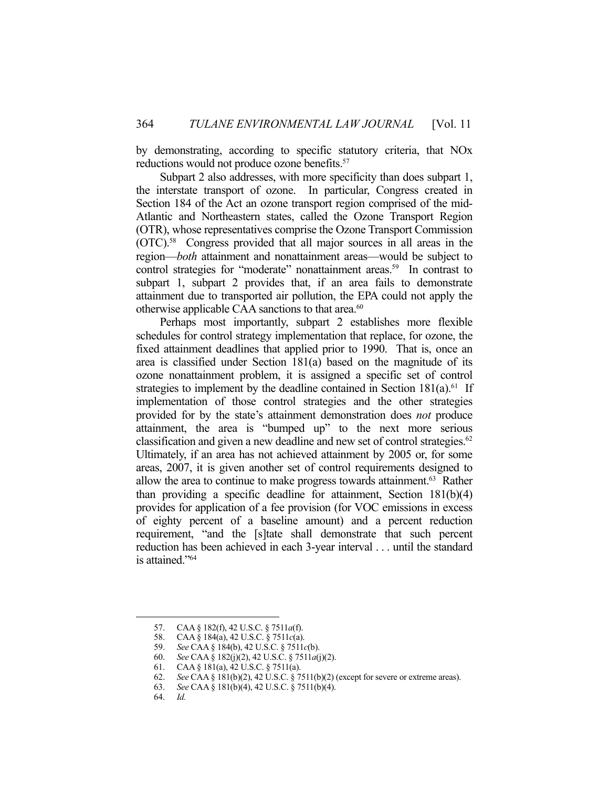by demonstrating, according to specific statutory criteria, that NOx reductions would not produce ozone benefits.<sup>57</sup>

 Subpart 2 also addresses, with more specificity than does subpart 1, the interstate transport of ozone. In particular, Congress created in Section 184 of the Act an ozone transport region comprised of the mid-Atlantic and Northeastern states, called the Ozone Transport Region (OTR), whose representatives comprise the Ozone Transport Commission (OTC).58 Congress provided that all major sources in all areas in the region—*both* attainment and nonattainment areas—would be subject to control strategies for "moderate" nonattainment areas.<sup>59</sup> In contrast to subpart 1, subpart 2 provides that, if an area fails to demonstrate attainment due to transported air pollution, the EPA could not apply the otherwise applicable CAA sanctions to that area.<sup>60</sup>

 Perhaps most importantly, subpart 2 establishes more flexible schedules for control strategy implementation that replace, for ozone, the fixed attainment deadlines that applied prior to 1990. That is, once an area is classified under Section 181(a) based on the magnitude of its ozone nonattainment problem, it is assigned a specific set of control strategies to implement by the deadline contained in Section  $181(a)$ .<sup>61</sup> If implementation of those control strategies and the other strategies provided for by the state's attainment demonstration does *not* produce attainment, the area is "bumped up" to the next more serious classification and given a new deadline and new set of control strategies.<sup>62</sup> Ultimately, if an area has not achieved attainment by 2005 or, for some areas, 2007, it is given another set of control requirements designed to allow the area to continue to make progress towards attainment.<sup>63</sup> Rather than providing a specific deadline for attainment, Section 181(b)(4) provides for application of a fee provision (for VOC emissions in excess of eighty percent of a baseline amount) and a percent reduction requirement, "and the [s]tate shall demonstrate that such percent reduction has been achieved in each 3-year interval . . . until the standard is attained."64

 <sup>57.</sup> CAA § 182(f), 42 U.S.C. § 7511*a*(f).

 <sup>58.</sup> CAA § 184(a), 42 U.S.C. § 7511*c*(a).

 <sup>59.</sup> *See* CAA § 184(b), 42 U.S.C. § 7511*c*(b).

<sup>60.</sup> *See* CAA § 182(j)(2), 42 U.S.C. § 7511*a*(j)(2).<br>61. CAA § 181(a), 42 U.S.C. § 7511(a).<br>62. *See* CAA § 181(b)(2), 42 U.S.C. § 7511(b)(2)

CAA § 181(a), 42 U.S.C. § 7511(a).

 <sup>62.</sup> *See* CAA § 181(b)(2), 42 U.S.C. § 7511(b)(2) (except for severe or extreme areas).

 <sup>63.</sup> *See* CAA § 181(b)(4), 42 U.S.C. § 7511(b)(4).

 <sup>64.</sup> *Id.*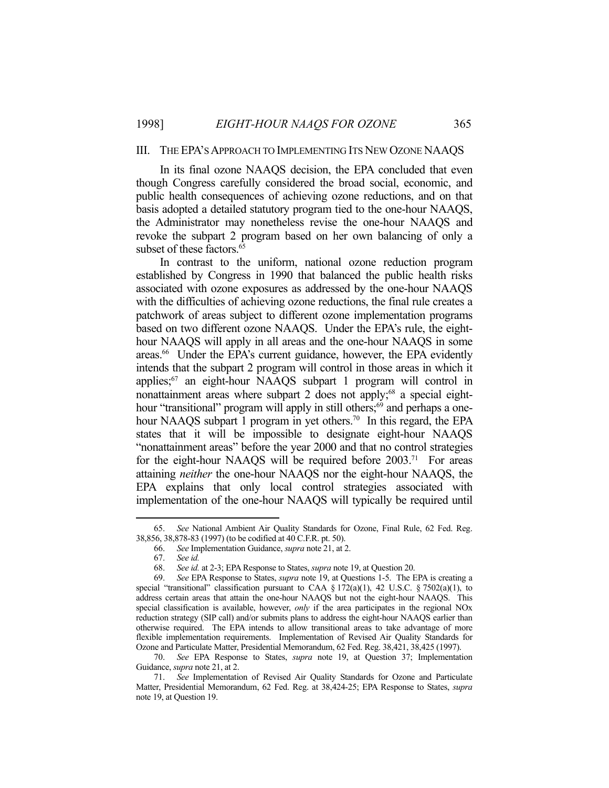## III. THE EPA'S APPROACH TO IMPLEMENTING ITS NEW OZONE NAAQS

 In its final ozone NAAQS decision, the EPA concluded that even though Congress carefully considered the broad social, economic, and public health consequences of achieving ozone reductions, and on that basis adopted a detailed statutory program tied to the one-hour NAAQS, the Administrator may nonetheless revise the one-hour NAAQS and revoke the subpart 2 program based on her own balancing of only a subset of these factors.<sup>65</sup>

 In contrast to the uniform, national ozone reduction program established by Congress in 1990 that balanced the public health risks associated with ozone exposures as addressed by the one-hour NAAQS with the difficulties of achieving ozone reductions, the final rule creates a patchwork of areas subject to different ozone implementation programs based on two different ozone NAAQS. Under the EPA's rule, the eighthour NAAQS will apply in all areas and the one-hour NAAQS in some areas.<sup>66</sup> Under the EPA's current guidance, however, the EPA evidently intends that the subpart 2 program will control in those areas in which it applies;67 an eight-hour NAAQS subpart 1 program will control in nonattainment areas where subpart 2 does not apply;<sup>68</sup> a special eighthour "transitional" program will apply in still others;<sup>69</sup> and perhaps a onehour NAAQS subpart 1 program in yet others.<sup>70</sup> In this regard, the EPA states that it will be impossible to designate eight-hour NAAQS "nonattainment areas" before the year 2000 and that no control strategies for the eight-hour NAAQS will be required before  $2003$ .<sup>71</sup> For areas attaining *neither* the one-hour NAAQS nor the eight-hour NAAQS, the EPA explains that only local control strategies associated with implementation of the one-hour NAAQS will typically be required until

 <sup>65.</sup> *See* National Ambient Air Quality Standards for Ozone, Final Rule, 62 Fed. Reg. 38,856, 38,878-83 (1997) (to be codified at 40 C.F.R. pt. 50).

 <sup>66.</sup> *See* Implementation Guidance, *supra* note 21, at 2.

 <sup>67.</sup> *See id.*

 <sup>68.</sup> *See id.* at 2-3; EPA Response to States, *supra* note 19, at Question 20.

 <sup>69.</sup> *See* EPA Response to States, *supra* note 19, at Questions 1-5. The EPA is creating a special "transitional" classification pursuant to CAA  $\S 172(a)(1)$ , 42 U.S.C.  $\S 7502(a)(1)$ , to address certain areas that attain the one-hour NAAQS but not the eight-hour NAAQS. This special classification is available, however, *only* if the area participates in the regional NOx reduction strategy (SIP call) and/or submits plans to address the eight-hour NAAQS earlier than otherwise required. The EPA intends to allow transitional areas to take advantage of more flexible implementation requirements. Implementation of Revised Air Quality Standards for Ozone and Particulate Matter, Presidential Memorandum, 62 Fed. Reg. 38,421, 38,425 (1997).

 <sup>70.</sup> *See* EPA Response to States, *supra* note 19, at Question 37; Implementation Guidance, *supra* note 21, at 2.

 <sup>71.</sup> *See* Implementation of Revised Air Quality Standards for Ozone and Particulate Matter, Presidential Memorandum, 62 Fed. Reg. at 38,424-25; EPA Response to States, *supra* note 19, at Question 19.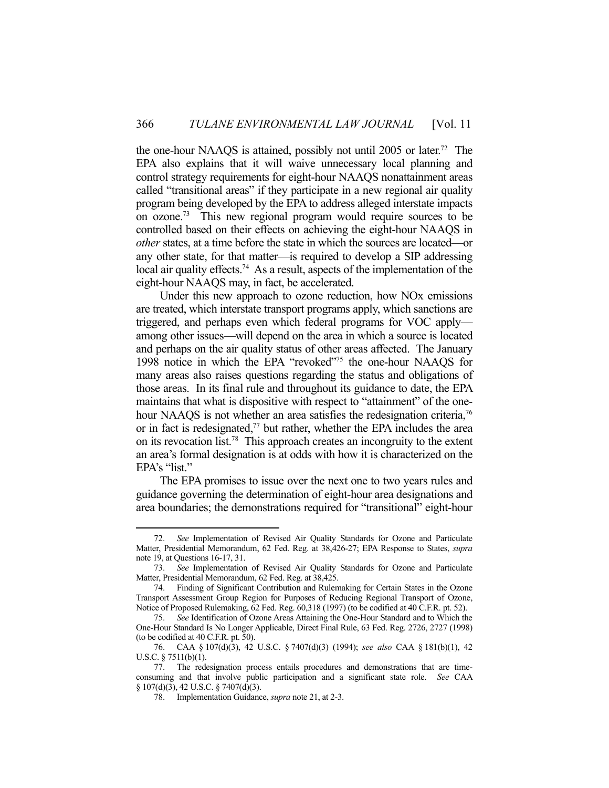the one-hour NAAQS is attained, possibly not until 2005 or later.72 The EPA also explains that it will waive unnecessary local planning and control strategy requirements for eight-hour NAAQS nonattainment areas called "transitional areas" if they participate in a new regional air quality program being developed by the EPA to address alleged interstate impacts on ozone.73 This new regional program would require sources to be controlled based on their effects on achieving the eight-hour NAAQS in *other* states, at a time before the state in which the sources are located—or any other state, for that matter—is required to develop a SIP addressing local air quality effects.<sup>74</sup> As a result, aspects of the implementation of the eight-hour NAAQS may, in fact, be accelerated.

 Under this new approach to ozone reduction, how NOx emissions are treated, which interstate transport programs apply, which sanctions are triggered, and perhaps even which federal programs for VOC apply among other issues—will depend on the area in which a source is located and perhaps on the air quality status of other areas affected. The January 1998 notice in which the EPA "revoked"75 the one-hour NAAQS for many areas also raises questions regarding the status and obligations of those areas. In its final rule and throughout its guidance to date, the EPA maintains that what is dispositive with respect to "attainment" of the onehour NAAQS is not whether an area satisfies the redesignation criteria,<sup>76</sup> or in fact is redesignated, $77$  but rather, whether the EPA includes the area on its revocation list.78 This approach creates an incongruity to the extent an area's formal designation is at odds with how it is characterized on the EPA's "list."

 The EPA promises to issue over the next one to two years rules and guidance governing the determination of eight-hour area designations and area boundaries; the demonstrations required for "transitional" eight-hour

 <sup>72.</sup> *See* Implementation of Revised Air Quality Standards for Ozone and Particulate Matter, Presidential Memorandum, 62 Fed. Reg. at 38,426-27; EPA Response to States, *supra* note 19, at Questions 16-17, 31.

 <sup>73.</sup> *See* Implementation of Revised Air Quality Standards for Ozone and Particulate Matter, Presidential Memorandum, 62 Fed. Reg. at 38,425.

 <sup>74.</sup> Finding of Significant Contribution and Rulemaking for Certain States in the Ozone Transport Assessment Group Region for Purposes of Reducing Regional Transport of Ozone, Notice of Proposed Rulemaking, 62 Fed. Reg. 60,318 (1997) (to be codified at 40 C.F.R. pt. 52).

 <sup>75.</sup> *See* Identification of Ozone Areas Attaining the One-Hour Standard and to Which the One-Hour Standard Is No Longer Applicable, Direct Final Rule, 63 Fed. Reg. 2726, 2727 (1998) (to be codified at 40 C.F.R. pt. 50).

 <sup>76.</sup> CAA § 107(d)(3), 42 U.S.C. § 7407(d)(3) (1994); *see also* CAA § 181(b)(1), 42 U.S.C. § 7511(b)(1).

 <sup>77.</sup> The redesignation process entails procedures and demonstrations that are timeconsuming and that involve public participation and a significant state role. *See* CAA § 107(d)(3), 42 U.S.C. § 7407(d)(3).

 <sup>78.</sup> Implementation Guidance, *supra* note 21, at 2-3.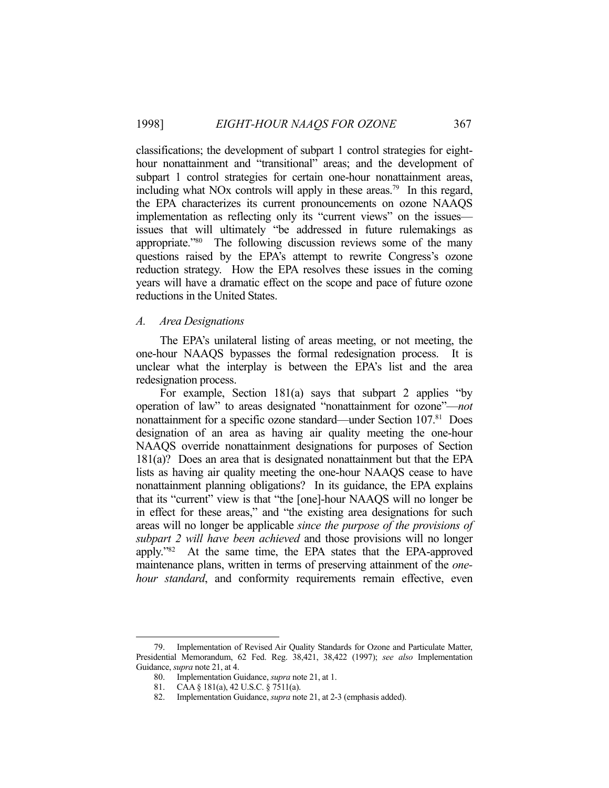classifications; the development of subpart 1 control strategies for eighthour nonattainment and "transitional" areas; and the development of subpart 1 control strategies for certain one-hour nonattainment areas, including what NOx controls will apply in these areas.<sup>79</sup> In this regard, the EPA characterizes its current pronouncements on ozone NAAQS implementation as reflecting only its "current views" on the issues issues that will ultimately "be addressed in future rulemakings as appropriate."80 The following discussion reviews some of the many questions raised by the EPA's attempt to rewrite Congress's ozone reduction strategy. How the EPA resolves these issues in the coming years will have a dramatic effect on the scope and pace of future ozone reductions in the United States.

#### *A. Area Designations*

 The EPA's unilateral listing of areas meeting, or not meeting, the one-hour NAAQS bypasses the formal redesignation process. It is unclear what the interplay is between the EPA's list and the area redesignation process.

 For example, Section 181(a) says that subpart 2 applies "by operation of law" to areas designated "nonattainment for ozone"—*not* nonattainment for a specific ozone standard—under Section 107.<sup>81</sup> Does designation of an area as having air quality meeting the one-hour NAAQS override nonattainment designations for purposes of Section 181(a)? Does an area that is designated nonattainment but that the EPA lists as having air quality meeting the one-hour NAAQS cease to have nonattainment planning obligations? In its guidance, the EPA explains that its "current" view is that "the [one]-hour NAAQS will no longer be in effect for these areas," and "the existing area designations for such areas will no longer be applicable *since the purpose of the provisions of subpart 2 will have been achieved* and those provisions will no longer apply."82 At the same time, the EPA states that the EPA-approved maintenance plans, written in terms of preserving attainment of the *onehour standard*, and conformity requirements remain effective, even

 <sup>79.</sup> Implementation of Revised Air Quality Standards for Ozone and Particulate Matter, Presidential Memorandum, 62 Fed. Reg. 38,421, 38,422 (1997); *see also* Implementation Guidance, *supra* note 21, at 4.

 <sup>80.</sup> Implementation Guidance, *supra* note 21, at 1.

 <sup>81.</sup> CAA § 181(a), 42 U.S.C. § 7511(a).

 <sup>82.</sup> Implementation Guidance, *supra* note 21, at 2-3 (emphasis added).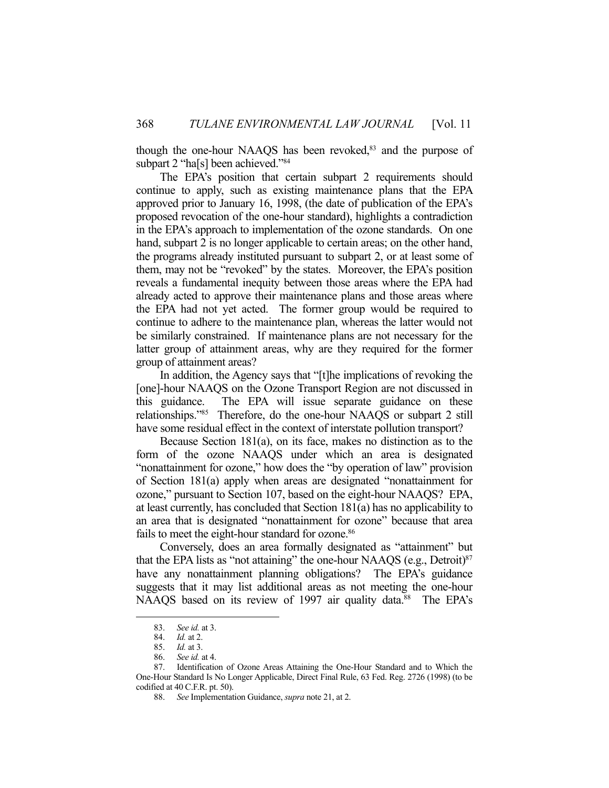though the one-hour NAAQS has been revoked,<sup>83</sup> and the purpose of subpart 2 "ha[s] been achieved."<sup>84</sup>

 The EPA's position that certain subpart 2 requirements should continue to apply, such as existing maintenance plans that the EPA approved prior to January 16, 1998, (the date of publication of the EPA's proposed revocation of the one-hour standard), highlights a contradiction in the EPA's approach to implementation of the ozone standards. On one hand, subpart 2 is no longer applicable to certain areas; on the other hand, the programs already instituted pursuant to subpart 2, or at least some of them, may not be "revoked" by the states. Moreover, the EPA's position reveals a fundamental inequity between those areas where the EPA had already acted to approve their maintenance plans and those areas where the EPA had not yet acted. The former group would be required to continue to adhere to the maintenance plan, whereas the latter would not be similarly constrained. If maintenance plans are not necessary for the latter group of attainment areas, why are they required for the former group of attainment areas?

 In addition, the Agency says that "[t]he implications of revoking the [one]-hour NAAQS on the Ozone Transport Region are not discussed in this guidance. The EPA will issue separate guidance on these relationships."85 Therefore, do the one-hour NAAQS or subpart 2 still have some residual effect in the context of interstate pollution transport?

 Because Section 181(a), on its face, makes no distinction as to the form of the ozone NAAQS under which an area is designated "nonattainment for ozone," how does the "by operation of law" provision of Section 181(a) apply when areas are designated "nonattainment for ozone," pursuant to Section 107, based on the eight-hour NAAQS? EPA, at least currently, has concluded that Section 181(a) has no applicability to an area that is designated "nonattainment for ozone" because that area fails to meet the eight-hour standard for ozone.<sup>86</sup>

 Conversely, does an area formally designated as "attainment" but that the EPA lists as "not attaining" the one-hour NAAQS (e.g., Detroit) $87$ have any nonattainment planning obligations? The EPA's guidance suggests that it may list additional areas as not meeting the one-hour NAAQS based on its review of 1997 air quality data.<sup>88</sup> The EPA's

 <sup>83.</sup> *See id.* at 3.

 <sup>84.</sup> *Id.* at 2.

 <sup>85.</sup> *Id.* at 3. *See id.* at 4.

 <sup>87.</sup> Identification of Ozone Areas Attaining the One-Hour Standard and to Which the One-Hour Standard Is No Longer Applicable, Direct Final Rule, 63 Fed. Reg. 2726 (1998) (to be codified at 40 C.F.R. pt. 50).

 <sup>88.</sup> *See* Implementation Guidance, *supra* note 21, at 2.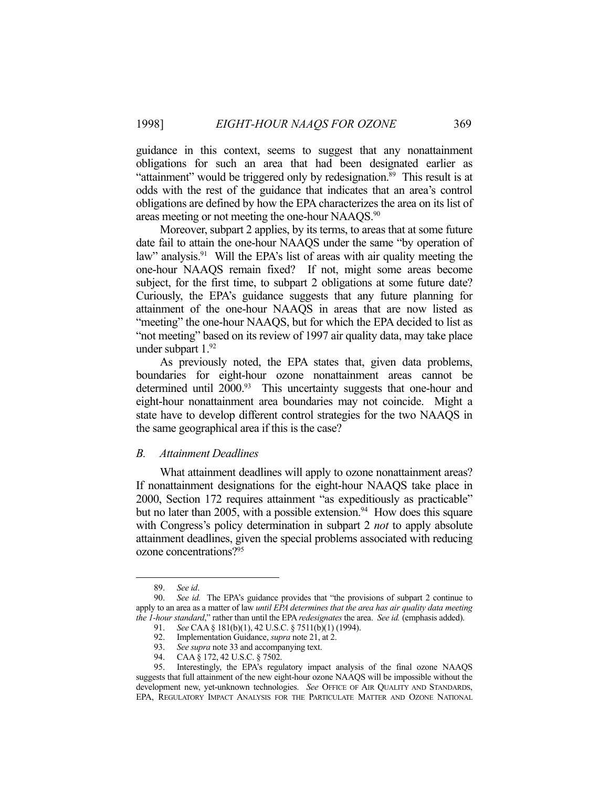guidance in this context, seems to suggest that any nonattainment obligations for such an area that had been designated earlier as "attainment" would be triggered only by redesignation.89 This result is at odds with the rest of the guidance that indicates that an area's control obligations are defined by how the EPA characterizes the area on its list of areas meeting or not meeting the one-hour NAAQS.<sup>90</sup>

 Moreover, subpart 2 applies, by its terms, to areas that at some future date fail to attain the one-hour NAAQS under the same "by operation of law" analysis.<sup>91</sup> Will the EPA's list of areas with air quality meeting the one-hour NAAQS remain fixed? If not, might some areas become subject, for the first time, to subpart 2 obligations at some future date? Curiously, the EPA's guidance suggests that any future planning for attainment of the one-hour NAAQS in areas that are now listed as "meeting" the one-hour NAAQS, but for which the EPA decided to list as "not meeting" based on its review of 1997 air quality data, may take place under subpart 1.92

 As previously noted, the EPA states that, given data problems, boundaries for eight-hour ozone nonattainment areas cannot be determined until 2000.<sup>93</sup> This uncertainty suggests that one-hour and eight-hour nonattainment area boundaries may not coincide. Might a state have to develop different control strategies for the two NAAQS in the same geographical area if this is the case?

# *B. Attainment Deadlines*

 What attainment deadlines will apply to ozone nonattainment areas? If nonattainment designations for the eight-hour NAAQS take place in 2000, Section 172 requires attainment "as expeditiously as practicable" but no later than 2005, with a possible extension.<sup>94</sup> How does this square with Congress's policy determination in subpart 2 *not* to apply absolute attainment deadlines, given the special problems associated with reducing ozone concentrations?95

 <sup>89.</sup> *See id*.

 <sup>90.</sup> *See id.* The EPA's guidance provides that "the provisions of subpart 2 continue to apply to an area as a matter of law *until EPA determines that the area has air quality data meeting the 1-hour standard*," rather than until the EPA *redesignates* the area. *See id.* (emphasis added).

 <sup>91.</sup> *See* CAA § 181(b)(1), 42 U.S.C. § 7511(b)(1) (1994).

 <sup>92.</sup> Implementation Guidance, *supra* note 21, at 2.

CAA § 172, 42 U.S.C. § 7502.

<sup>93.</sup> *See supra* note 33 and accompanying text.<br>94. CAA § 172, 42 U.S.C. § 7502.<br>95. Interestingly, the EPA's regulatory impactual 95. Interestingly, the EPA's regulatory impact analysis of the final ozone NAAQS suggests that full attainment of the new eight-hour ozone NAAQS will be impossible without the development new, yet-unknown technologies. *See* OFFICE OF AIR QUALITY AND STANDARDS, EPA, REGULATORY IMPACT ANALYSIS FOR THE PARTICULATE MATTER AND OZONE NATIONAL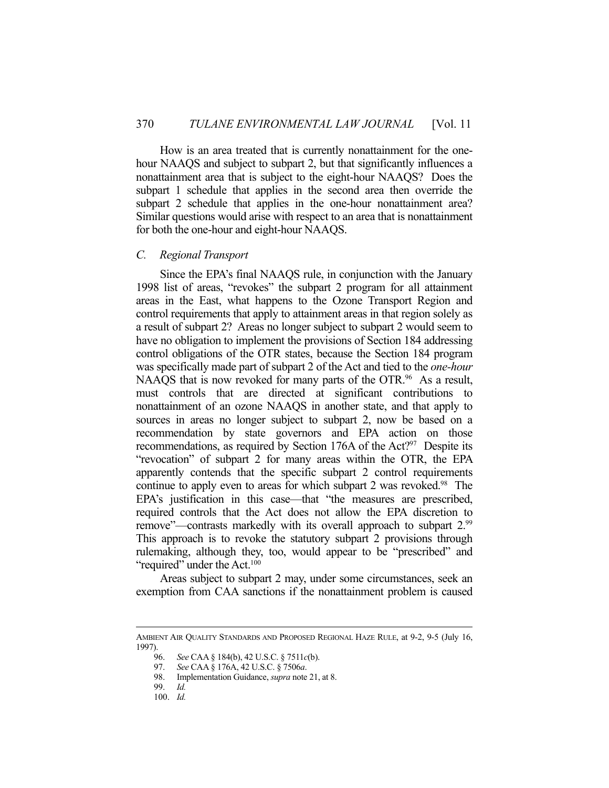How is an area treated that is currently nonattainment for the onehour NAAQS and subject to subpart 2, but that significantly influences a nonattainment area that is subject to the eight-hour NAAQS? Does the subpart 1 schedule that applies in the second area then override the subpart 2 schedule that applies in the one-hour nonattainment area? Similar questions would arise with respect to an area that is nonattainment for both the one-hour and eight-hour NAAQS.

#### *C. Regional Transport*

 Since the EPA's final NAAQS rule, in conjunction with the January 1998 list of areas, "revokes" the subpart 2 program for all attainment areas in the East, what happens to the Ozone Transport Region and control requirements that apply to attainment areas in that region solely as a result of subpart 2? Areas no longer subject to subpart 2 would seem to have no obligation to implement the provisions of Section 184 addressing control obligations of the OTR states, because the Section 184 program was specifically made part of subpart 2 of the Act and tied to the *one-hour* NAAQS that is now revoked for many parts of the OTR.<sup>96</sup> As a result, must controls that are directed at significant contributions to nonattainment of an ozone NAAQS in another state, and that apply to sources in areas no longer subject to subpart 2, now be based on a recommendation by state governors and EPA action on those recommendations, as required by Section 176A of the Act?<sup>97</sup> Despite its "revocation" of subpart 2 for many areas within the OTR, the EPA apparently contends that the specific subpart 2 control requirements continue to apply even to areas for which subpart 2 was revoked. 98 The EPA's justification in this case—that "the measures are prescribed, required controls that the Act does not allow the EPA discretion to remove"—contrasts markedly with its overall approach to subpart 2.99 This approach is to revoke the statutory subpart 2 provisions through rulemaking, although they, too, would appear to be "prescribed" and "required" under the Act.<sup>100</sup>

 Areas subject to subpart 2 may, under some circumstances, seek an exemption from CAA sanctions if the nonattainment problem is caused

AMBIENT AIR QUALITY STANDARDS AND PROPOSED REGIONAL HAZE RULE, at 9-2, 9-5 (July 16, 1997).

 <sup>96.</sup> *See* CAA § 184(b), 42 U.S.C. § 7511*c*(b).

 <sup>97.</sup> *See* CAA § 176A, 42 U.S.C. § 7506*a*.

 <sup>98.</sup> Implementation Guidance, *supra* note 21, at 8.

 <sup>99.</sup> *Id.*

 <sup>100.</sup> *Id.*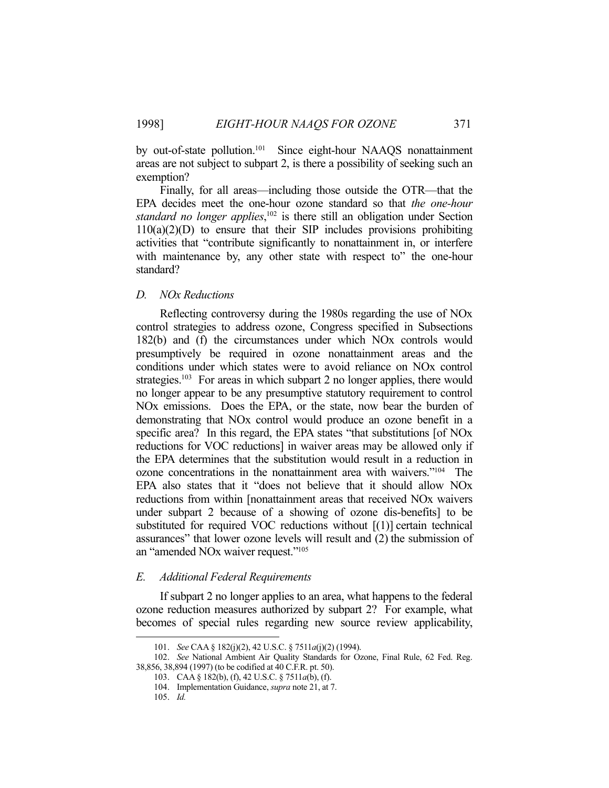by out-of-state pollution.101 Since eight-hour NAAQS nonattainment areas are not subject to subpart 2, is there a possibility of seeking such an exemption?

 Finally, for all areas—including those outside the OTR—that the EPA decides meet the one-hour ozone standard so that *the one-hour standard no longer applies*, 102 is there still an obligation under Section  $110(a)(2)(D)$  to ensure that their SIP includes provisions prohibiting activities that "contribute significantly to nonattainment in, or interfere with maintenance by, any other state with respect to" the one-hour standard?

## *D. NOx Reductions*

 Reflecting controversy during the 1980s regarding the use of NOx control strategies to address ozone, Congress specified in Subsections 182(b) and (f) the circumstances under which NOx controls would presumptively be required in ozone nonattainment areas and the conditions under which states were to avoid reliance on NOx control strategies.<sup>103</sup> For areas in which subpart 2 no longer applies, there would no longer appear to be any presumptive statutory requirement to control NOx emissions. Does the EPA, or the state, now bear the burden of demonstrating that NOx control would produce an ozone benefit in a specific area? In this regard, the EPA states "that substitutions [of NOx reductions for VOC reductions] in waiver areas may be allowed only if the EPA determines that the substitution would result in a reduction in ozone concentrations in the nonattainment area with waivers."104 The EPA also states that it "does not believe that it should allow NOx reductions from within [nonattainment areas that received NOx waivers under subpart 2 because of a showing of ozone dis-benefits] to be substituted for required VOC reductions without  $[(1)]$  certain technical assurances" that lower ozone levels will result and (2) the submission of an "amended NOx waiver request."105

### *E. Additional Federal Requirements*

 If subpart 2 no longer applies to an area, what happens to the federal ozone reduction measures authorized by subpart 2? For example, what becomes of special rules regarding new source review applicability,

 <sup>101.</sup> *See* CAA § 182(j)(2), 42 U.S.C. § 7511*a*(j)(2) (1994).

 <sup>102.</sup> *See* National Ambient Air Quality Standards for Ozone, Final Rule, 62 Fed. Reg. 38,856, 38,894 (1997) (to be codified at 40 C.F.R. pt. 50).

 <sup>103.</sup> CAA § 182(b), (f), 42 U.S.C. § 7511*a*(b), (f).

 <sup>104.</sup> Implementation Guidance, *supra* note 21, at 7.

 <sup>105.</sup> *Id.*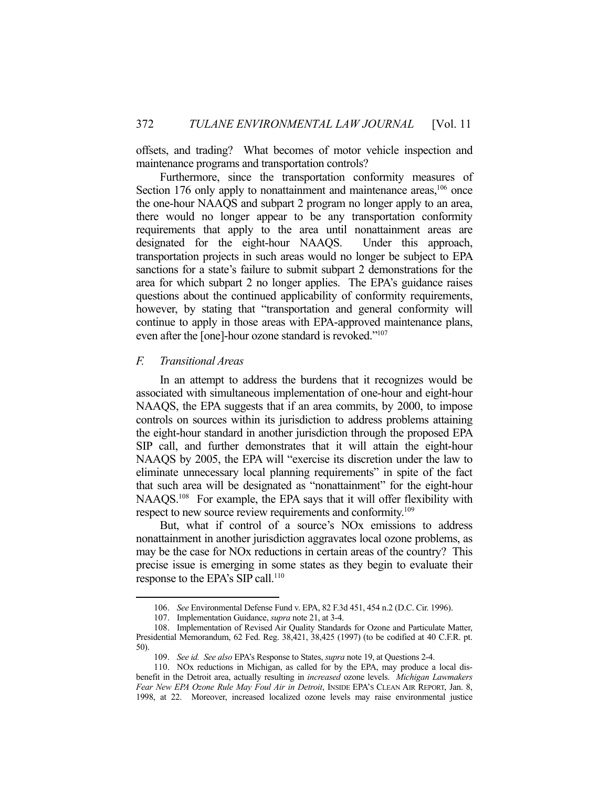offsets, and trading? What becomes of motor vehicle inspection and maintenance programs and transportation controls?

 Furthermore, since the transportation conformity measures of Section  $176$  only apply to nonattainment and maintenance areas,  $106$  once the one-hour NAAQS and subpart 2 program no longer apply to an area, there would no longer appear to be any transportation conformity requirements that apply to the area until nonattainment areas are designated for the eight-hour NAAQS. Under this approach, transportation projects in such areas would no longer be subject to EPA sanctions for a state's failure to submit subpart 2 demonstrations for the area for which subpart 2 no longer applies. The EPA's guidance raises questions about the continued applicability of conformity requirements, however, by stating that "transportation and general conformity will continue to apply in those areas with EPA-approved maintenance plans, even after the [one]-hour ozone standard is revoked."107

## *F. Transitional Areas*

1

 In an attempt to address the burdens that it recognizes would be associated with simultaneous implementation of one-hour and eight-hour NAAQS, the EPA suggests that if an area commits, by 2000, to impose controls on sources within its jurisdiction to address problems attaining the eight-hour standard in another jurisdiction through the proposed EPA SIP call, and further demonstrates that it will attain the eight-hour NAAQS by 2005, the EPA will "exercise its discretion under the law to eliminate unnecessary local planning requirements" in spite of the fact that such area will be designated as "nonattainment" for the eight-hour NAAQS.<sup>108</sup> For example, the EPA says that it will offer flexibility with respect to new source review requirements and conformity.<sup>109</sup>

 But, what if control of a source's NOx emissions to address nonattainment in another jurisdiction aggravates local ozone problems, as may be the case for NOx reductions in certain areas of the country? This precise issue is emerging in some states as they begin to evaluate their response to the EPA's SIP call.<sup>110</sup>

 <sup>106.</sup> *See* Environmental Defense Fund v. EPA, 82 F.3d 451, 454 n.2 (D.C. Cir. 1996).

 <sup>107.</sup> Implementation Guidance, *supra* note 21, at 3-4.

 <sup>108.</sup> Implementation of Revised Air Quality Standards for Ozone and Particulate Matter, Presidential Memorandum, 62 Fed. Reg. 38,421, 38,425 (1997) (to be codified at 40 C.F.R. pt. 50).

 <sup>109.</sup> *See id. See also* EPA's Response to States, *supra* note 19, at Questions 2-4.

 <sup>110.</sup> NOx reductions in Michigan, as called for by the EPA, may produce a local disbenefit in the Detroit area, actually resulting in *increased* ozone levels. *Michigan Lawmakers Fear New EPA Ozone Rule May Foul Air in Detroit*, INSIDE EPA'S CLEAN AIR REPORT, Jan. 8, 1998, at 22. Moreover, increased localized ozone levels may raise environmental justice